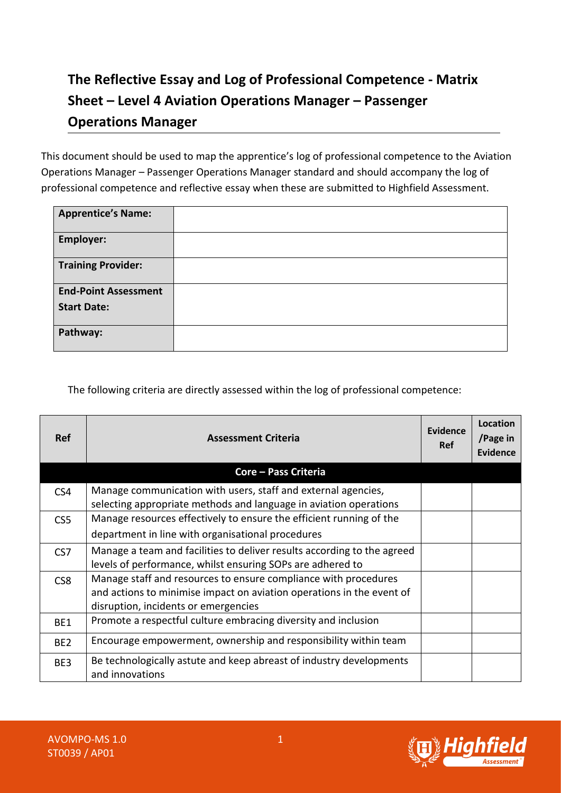## **The Reflective Essay and Log of Professional Competence - Matrix Sheet – Level 4 Aviation Operations Manager – Passenger Operations Manager**

This document should be used to map the apprentice's log of professional competence to the Aviation Operations Manager – Passenger Operations Manager standard and should accompany the log of professional competence and reflective essay when these are submitted to Highfield Assessment.

| <b>Apprentice's Name:</b>   |  |
|-----------------------------|--|
| <b>Employer:</b>            |  |
| <b>Training Provider:</b>   |  |
| <b>End-Point Assessment</b> |  |
| <b>Start Date:</b>          |  |
| Pathway:                    |  |

The following criteria are directly assessed within the log of professional competence:

| <b>Ref</b>      | <b>Assessment Criteria</b>                                                                                                                                                       | Evidence<br>Ref | Location<br>/Page in<br><b>Evidence</b> |
|-----------------|----------------------------------------------------------------------------------------------------------------------------------------------------------------------------------|-----------------|-----------------------------------------|
|                 | <b>Core - Pass Criteria</b>                                                                                                                                                      |                 |                                         |
| CS4             | Manage communication with users, staff and external agencies,<br>selecting appropriate methods and language in aviation operations                                               |                 |                                         |
| CS <sub>5</sub> | Manage resources effectively to ensure the efficient running of the                                                                                                              |                 |                                         |
|                 | department in line with organisational procedures                                                                                                                                |                 |                                         |
| CS <sub>7</sub> | Manage a team and facilities to deliver results according to the agreed<br>levels of performance, whilst ensuring SOPs are adhered to                                            |                 |                                         |
| CS <sub>8</sub> | Manage staff and resources to ensure compliance with procedures<br>and actions to minimise impact on aviation operations in the event of<br>disruption, incidents or emergencies |                 |                                         |
| BE1             | Promote a respectful culture embracing diversity and inclusion                                                                                                                   |                 |                                         |
| BE <sub>2</sub> | Encourage empowerment, ownership and responsibility within team                                                                                                                  |                 |                                         |
| BE3             | Be technologically astute and keep abreast of industry developments<br>and innovations                                                                                           |                 |                                         |

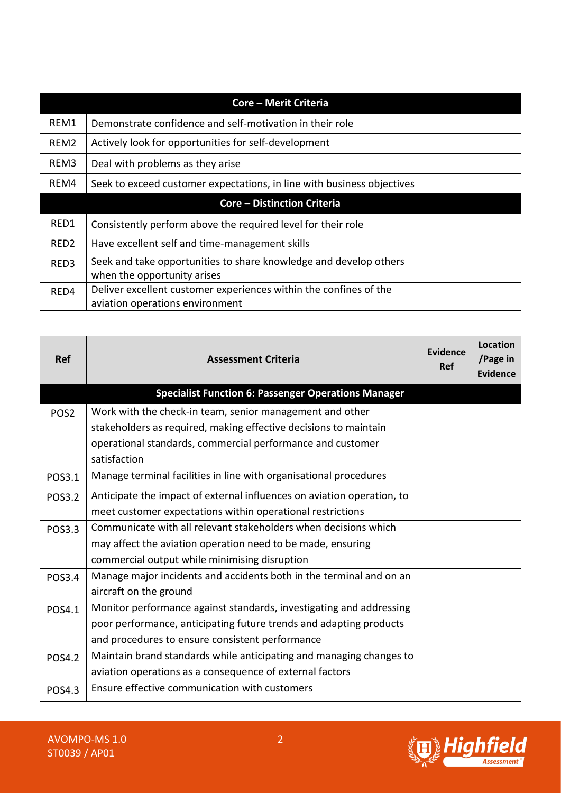|                                    | <b>Core - Merit Criteria</b>                                                                         |  |  |
|------------------------------------|------------------------------------------------------------------------------------------------------|--|--|
| REM1                               | Demonstrate confidence and self-motivation in their role                                             |  |  |
| REM2                               | Actively look for opportunities for self-development                                                 |  |  |
| REM3                               | Deal with problems as they arise                                                                     |  |  |
| REM4                               | Seek to exceed customer expectations, in line with business objectives                               |  |  |
| <b>Core - Distinction Criteria</b> |                                                                                                      |  |  |
| RED1                               | Consistently perform above the required level for their role                                         |  |  |
| RED <sub>2</sub>                   | Have excellent self and time-management skills                                                       |  |  |
| RED3                               | Seek and take opportunities to share knowledge and develop others<br>when the opportunity arises     |  |  |
| RED4                               | Deliver excellent customer experiences within the confines of the<br>aviation operations environment |  |  |

| <b>Ref</b>       | <b>Assessment Criteria</b>                                             | Evidence<br>Ref | <b>Location</b><br>/Page in<br><b>Evidence</b> |
|------------------|------------------------------------------------------------------------|-----------------|------------------------------------------------|
|                  | <b>Specialist Function 6: Passenger Operations Manager</b>             |                 |                                                |
| POS <sub>2</sub> | Work with the check-in team, senior management and other               |                 |                                                |
|                  | stakeholders as required, making effective decisions to maintain       |                 |                                                |
|                  | operational standards, commercial performance and customer             |                 |                                                |
|                  | satisfaction                                                           |                 |                                                |
| POS3.1           | Manage terminal facilities in line with organisational procedures      |                 |                                                |
| <b>POS3.2</b>    | Anticipate the impact of external influences on aviation operation, to |                 |                                                |
|                  | meet customer expectations within operational restrictions             |                 |                                                |
| <b>POS3.3</b>    | Communicate with all relevant stakeholders when decisions which        |                 |                                                |
|                  | may affect the aviation operation need to be made, ensuring            |                 |                                                |
|                  | commercial output while minimising disruption                          |                 |                                                |
| <b>POS3.4</b>    | Manage major incidents and accidents both in the terminal and on an    |                 |                                                |
|                  | aircraft on the ground                                                 |                 |                                                |
| POS4.1           | Monitor performance against standards, investigating and addressing    |                 |                                                |
|                  | poor performance, anticipating future trends and adapting products     |                 |                                                |
|                  | and procedures to ensure consistent performance                        |                 |                                                |
| <b>POS4.2</b>    | Maintain brand standards while anticipating and managing changes to    |                 |                                                |
|                  | aviation operations as a consequence of external factors               |                 |                                                |
| POS4.3           | Ensure effective communication with customers                          |                 |                                                |

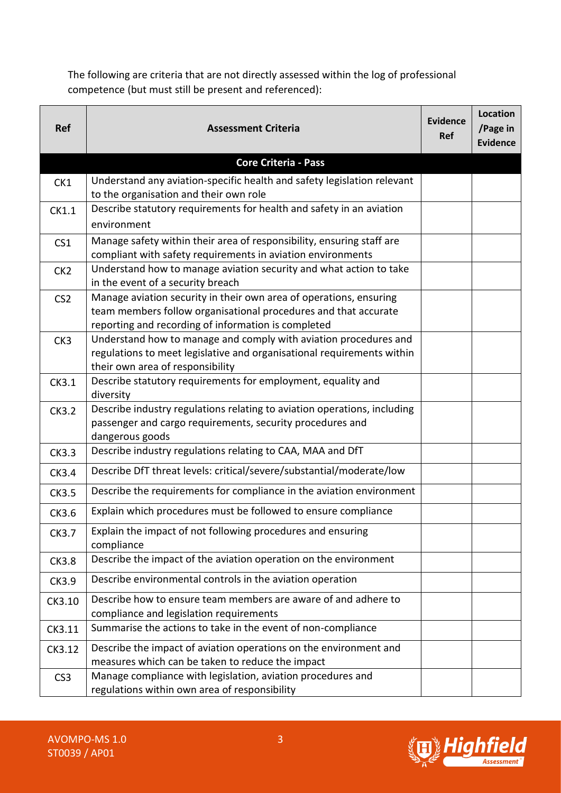The following are criteria that are not directly assessed within the log of professional competence (but must still be present and referenced):

| <b>Ref</b>      | <b>Assessment Criteria</b>                                                                                                                                                                   | Evidence<br>Ref | <b>Location</b><br>/Page in<br><b>Evidence</b> |
|-----------------|----------------------------------------------------------------------------------------------------------------------------------------------------------------------------------------------|-----------------|------------------------------------------------|
|                 | <b>Core Criteria - Pass</b>                                                                                                                                                                  |                 |                                                |
| CK1             | Understand any aviation-specific health and safety legislation relevant<br>to the organisation and their own role                                                                            |                 |                                                |
| CK1.1           | Describe statutory requirements for health and safety in an aviation<br>environment                                                                                                          |                 |                                                |
| CS <sub>1</sub> | Manage safety within their area of responsibility, ensuring staff are<br>compliant with safety requirements in aviation environments                                                         |                 |                                                |
| CK <sub>2</sub> | Understand how to manage aviation security and what action to take<br>in the event of a security breach                                                                                      |                 |                                                |
| CS <sub>2</sub> | Manage aviation security in their own area of operations, ensuring<br>team members follow organisational procedures and that accurate<br>reporting and recording of information is completed |                 |                                                |
| CK3             | Understand how to manage and comply with aviation procedures and<br>regulations to meet legislative and organisational requirements within<br>their own area of responsibility               |                 |                                                |
| CK3.1           | Describe statutory requirements for employment, equality and<br>diversity                                                                                                                    |                 |                                                |
| <b>CK3.2</b>    | Describe industry regulations relating to aviation operations, including<br>passenger and cargo requirements, security procedures and<br>dangerous goods                                     |                 |                                                |
| <b>CK3.3</b>    | Describe industry regulations relating to CAA, MAA and DfT                                                                                                                                   |                 |                                                |
| CK3.4           | Describe DfT threat levels: critical/severe/substantial/moderate/low                                                                                                                         |                 |                                                |
| <b>CK3.5</b>    | Describe the requirements for compliance in the aviation environment                                                                                                                         |                 |                                                |
| CK3.6           | Explain which procedures must be followed to ensure compliance                                                                                                                               |                 |                                                |
| CK3.7           | Explain the impact of not following procedures and ensuring<br>compliance                                                                                                                    |                 |                                                |
| <b>CK3.8</b>    | Describe the impact of the aviation operation on the environment                                                                                                                             |                 |                                                |
| CK3.9           | Describe environmental controls in the aviation operation                                                                                                                                    |                 |                                                |
| CK3.10          | Describe how to ensure team members are aware of and adhere to<br>compliance and legislation requirements                                                                                    |                 |                                                |
| CK3.11          | Summarise the actions to take in the event of non-compliance                                                                                                                                 |                 |                                                |
| CK3.12          | Describe the impact of aviation operations on the environment and<br>measures which can be taken to reduce the impact                                                                        |                 |                                                |
| CS <sub>3</sub> | Manage compliance with legislation, aviation procedures and<br>regulations within own area of responsibility                                                                                 |                 |                                                |

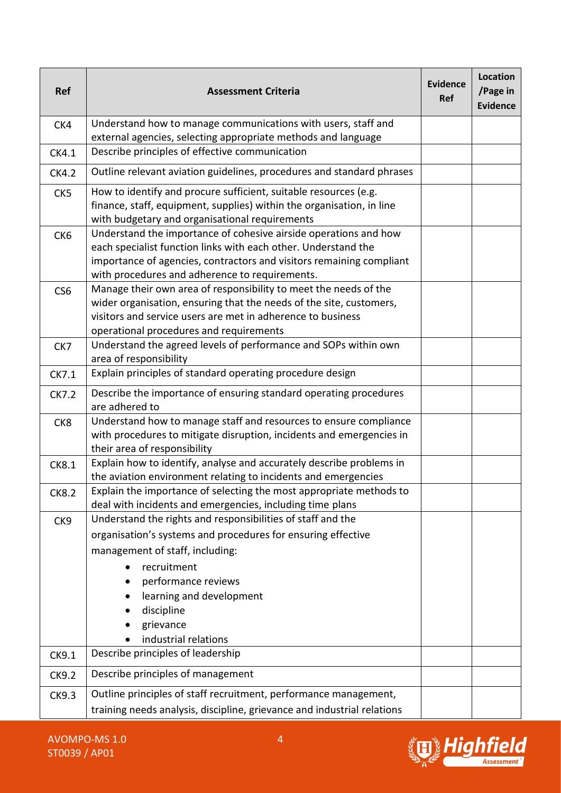| <b>Ref</b>      | <b>Assessment Criteria</b>                                                                                                             | <b>Evidence</b><br><b>Ref</b> | <b>Location</b><br>/Page in<br><b>Evidence</b> |
|-----------------|----------------------------------------------------------------------------------------------------------------------------------------|-------------------------------|------------------------------------------------|
| CK4             | Understand how to manage communications with users, staff and                                                                          |                               |                                                |
| CK4.1           | external agencies, selecting appropriate methods and language<br>Describe principles of effective communication                        |                               |                                                |
| <b>CK4.2</b>    | Outline relevant aviation guidelines, procedures and standard phrases                                                                  |                               |                                                |
|                 | How to identify and procure sufficient, suitable resources (e.g.                                                                       |                               |                                                |
| CK <sub>5</sub> | finance, staff, equipment, supplies) within the organisation, in line<br>with budgetary and organisational requirements                |                               |                                                |
| CK <sub>6</sub> | Understand the importance of cohesive airside operations and how                                                                       |                               |                                                |
|                 | each specialist function links with each other. Understand the<br>importance of agencies, contractors and visitors remaining compliant |                               |                                                |
|                 | with procedures and adherence to requirements.                                                                                         |                               |                                                |
| CS <sub>6</sub> | Manage their own area of responsibility to meet the needs of the                                                                       |                               |                                                |
|                 | wider organisation, ensuring that the needs of the site, customers,<br>visitors and service users are met in adherence to business     |                               |                                                |
|                 | operational procedures and requirements                                                                                                |                               |                                                |
| CK7             | Understand the agreed levels of performance and SOPs within own<br>area of responsibility                                              |                               |                                                |
| CK7.1           | Explain principles of standard operating procedure design                                                                              |                               |                                                |
| CK7.2           | Describe the importance of ensuring standard operating procedures<br>are adhered to                                                    |                               |                                                |
| CK8             | Understand how to manage staff and resources to ensure compliance                                                                      |                               |                                                |
|                 | with procedures to mitigate disruption, incidents and emergencies in<br>their area of responsibility                                   |                               |                                                |
| <b>CK8.1</b>    | Explain how to identify, analyse and accurately describe problems in                                                                   |                               |                                                |
|                 | the aviation environment relating to incidents and emergencies<br>Explain the importance of selecting the most appropriate methods to  |                               |                                                |
| CK8.2           | deal with incidents and emergencies, including time plans                                                                              |                               |                                                |
| CK9             | Understand the rights and responsibilities of staff and the                                                                            |                               |                                                |
|                 | organisation's systems and procedures for ensuring effective                                                                           |                               |                                                |
|                 | management of staff, including:                                                                                                        |                               |                                                |
|                 | recruitment                                                                                                                            |                               |                                                |
|                 | performance reviews<br>learning and development                                                                                        |                               |                                                |
|                 | discipline                                                                                                                             |                               |                                                |
|                 | grievance                                                                                                                              |                               |                                                |
|                 | industrial relations                                                                                                                   |                               |                                                |
| CK9.1           | Describe principles of leadership                                                                                                      |                               |                                                |
| <b>CK9.2</b>    | Describe principles of management                                                                                                      |                               |                                                |
| CK9.3           | Outline principles of staff recruitment, performance management,                                                                       |                               |                                                |
|                 | training needs analysis, discipline, grievance and industrial relations                                                                |                               |                                                |

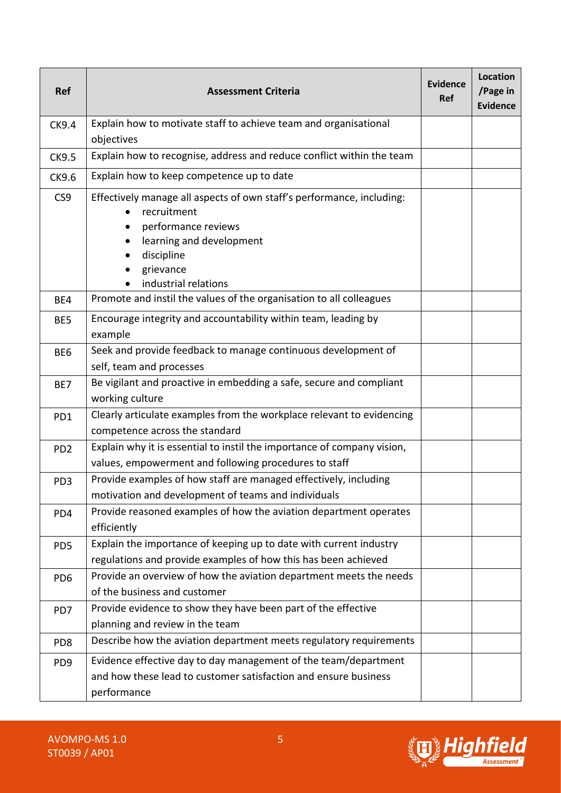| <b>Ref</b>      | <b>Assessment Criteria</b>                                                                                                                                                                 | Evidence<br><b>Ref</b> | <b>Location</b><br>/Page in<br><b>Evidence</b> |
|-----------------|--------------------------------------------------------------------------------------------------------------------------------------------------------------------------------------------|------------------------|------------------------------------------------|
| <b>CK9.4</b>    | Explain how to motivate staff to achieve team and organisational<br>objectives                                                                                                             |                        |                                                |
| <b>CK9.5</b>    | Explain how to recognise, address and reduce conflict within the team                                                                                                                      |                        |                                                |
| CK9.6           | Explain how to keep competence up to date                                                                                                                                                  |                        |                                                |
| CS <sub>9</sub> | Effectively manage all aspects of own staff's performance, including:<br>recruitment<br>performance reviews<br>learning and development<br>discipline<br>grievance<br>industrial relations |                        |                                                |
| BE4             | Promote and instil the values of the organisation to all colleagues                                                                                                                        |                        |                                                |
| BE5             | Encourage integrity and accountability within team, leading by<br>example                                                                                                                  |                        |                                                |
| BE <sub>6</sub> | Seek and provide feedback to manage continuous development of<br>self, team and processes                                                                                                  |                        |                                                |
| BE7             | Be vigilant and proactive in embedding a safe, secure and compliant<br>working culture                                                                                                     |                        |                                                |
| PD1             | Clearly articulate examples from the workplace relevant to evidencing<br>competence across the standard                                                                                    |                        |                                                |
| PD <sub>2</sub> | Explain why it is essential to instil the importance of company vision,<br>values, empowerment and following procedures to staff                                                           |                        |                                                |
| PD <sub>3</sub> | Provide examples of how staff are managed effectively, including<br>motivation and development of teams and individuals                                                                    |                        |                                                |
| PD4             | Provide reasoned examples of how the aviation department operates<br>efficiently                                                                                                           |                        |                                                |
| PD <sub>5</sub> | Explain the importance of keeping up to date with current industry<br>regulations and provide examples of how this has been achieved                                                       |                        |                                                |
| PD <sub>6</sub> | Provide an overview of how the aviation department meets the needs<br>of the business and customer                                                                                         |                        |                                                |
| PD7             | Provide evidence to show they have been part of the effective<br>planning and review in the team                                                                                           |                        |                                                |
| PD <sub>8</sub> | Describe how the aviation department meets regulatory requirements                                                                                                                         |                        |                                                |
| PD <sub>9</sub> | Evidence effective day to day management of the team/department<br>and how these lead to customer satisfaction and ensure business                                                         |                        |                                                |
|                 | performance                                                                                                                                                                                |                        |                                                |

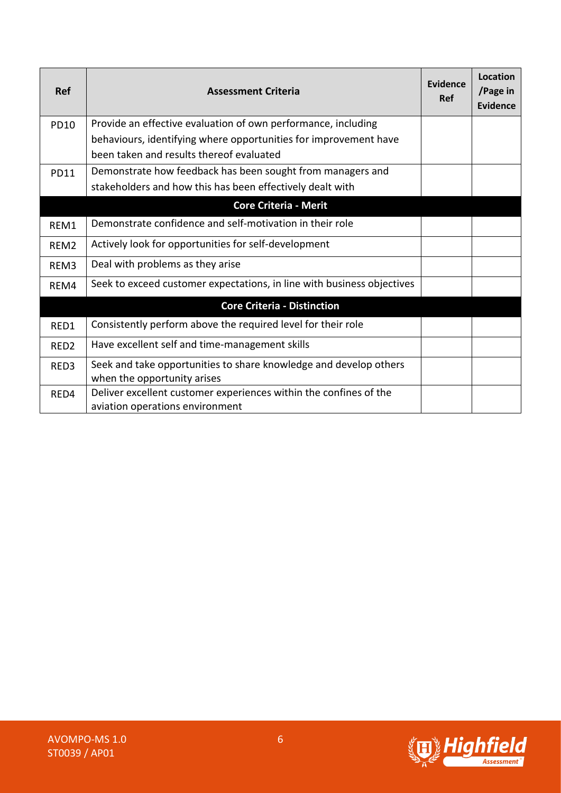| <b>Ref</b>       | <b>Assessment Criteria</b>                                             | Evidence<br><b>Ref</b> | <b>Location</b><br>/Page in<br><b>Evidence</b> |
|------------------|------------------------------------------------------------------------|------------------------|------------------------------------------------|
| <b>PD10</b>      | Provide an effective evaluation of own performance, including          |                        |                                                |
|                  | behaviours, identifying where opportunities for improvement have       |                        |                                                |
|                  | been taken and results thereof evaluated                               |                        |                                                |
| <b>PD11</b>      | Demonstrate how feedback has been sought from managers and             |                        |                                                |
|                  | stakeholders and how this has been effectively dealt with              |                        |                                                |
|                  | <b>Core Criteria - Merit</b>                                           |                        |                                                |
| REM1             | Demonstrate confidence and self-motivation in their role               |                        |                                                |
| REM <sub>2</sub> | Actively look for opportunities for self-development                   |                        |                                                |
| REM <sub>3</sub> | Deal with problems as they arise                                       |                        |                                                |
| REM4             | Seek to exceed customer expectations, in line with business objectives |                        |                                                |
|                  | <b>Core Criteria - Distinction</b>                                     |                        |                                                |
| RED1             | Consistently perform above the required level for their role           |                        |                                                |
| RED <sub>2</sub> | Have excellent self and time-management skills                         |                        |                                                |
| RED3             | Seek and take opportunities to share knowledge and develop others      |                        |                                                |
|                  | when the opportunity arises                                            |                        |                                                |
| RED4             | Deliver excellent customer experiences within the confines of the      |                        |                                                |
|                  | aviation operations environment                                        |                        |                                                |

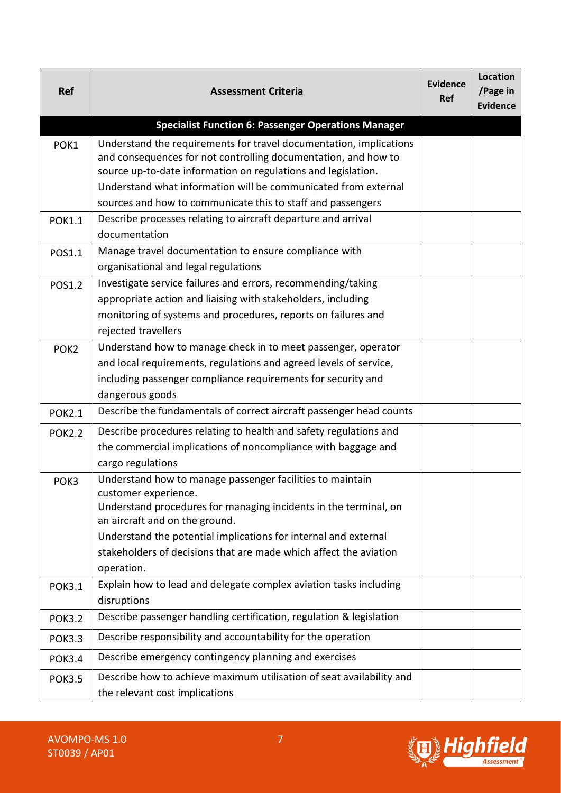| <b>Ref</b>       | <b>Assessment Criteria</b>                                                                                                                                                                                                                                                                                                                    | Evidence<br><b>Ref</b> | <b>Location</b><br>/Page in<br><b>Evidence</b> |
|------------------|-----------------------------------------------------------------------------------------------------------------------------------------------------------------------------------------------------------------------------------------------------------------------------------------------------------------------------------------------|------------------------|------------------------------------------------|
|                  | <b>Specialist Function 6: Passenger Operations Manager</b>                                                                                                                                                                                                                                                                                    |                        |                                                |
| POK1             | Understand the requirements for travel documentation, implications<br>and consequences for not controlling documentation, and how to<br>source up-to-date information on regulations and legislation.<br>Understand what information will be communicated from external<br>sources and how to communicate this to staff and passengers        |                        |                                                |
| <b>POK1.1</b>    | Describe processes relating to aircraft departure and arrival<br>documentation                                                                                                                                                                                                                                                                |                        |                                                |
| POS1.1           | Manage travel documentation to ensure compliance with<br>organisational and legal regulations                                                                                                                                                                                                                                                 |                        |                                                |
| <b>POS1.2</b>    | Investigate service failures and errors, recommending/taking<br>appropriate action and liaising with stakeholders, including<br>monitoring of systems and procedures, reports on failures and<br>rejected travellers                                                                                                                          |                        |                                                |
| POK <sub>2</sub> | Understand how to manage check in to meet passenger, operator<br>and local requirements, regulations and agreed levels of service,<br>including passenger compliance requirements for security and<br>dangerous goods                                                                                                                         |                        |                                                |
| <b>POK2.1</b>    | Describe the fundamentals of correct aircraft passenger head counts                                                                                                                                                                                                                                                                           |                        |                                                |
| <b>POK2.2</b>    | Describe procedures relating to health and safety regulations and<br>the commercial implications of noncompliance with baggage and<br>cargo regulations                                                                                                                                                                                       |                        |                                                |
| POK3             | Understand how to manage passenger facilities to maintain<br>customer experience.<br>Understand procedures for managing incidents in the terminal, on<br>an aircraft and on the ground.<br>Understand the potential implications for internal and external<br>stakeholders of decisions that are made which affect the aviation<br>operation. |                        |                                                |
| <b>POK3.1</b>    | Explain how to lead and delegate complex aviation tasks including<br>disruptions                                                                                                                                                                                                                                                              |                        |                                                |
| <b>POK3.2</b>    | Describe passenger handling certification, regulation & legislation                                                                                                                                                                                                                                                                           |                        |                                                |
| <b>POK3.3</b>    | Describe responsibility and accountability for the operation                                                                                                                                                                                                                                                                                  |                        |                                                |
| <b>POK3.4</b>    | Describe emergency contingency planning and exercises                                                                                                                                                                                                                                                                                         |                        |                                                |
| <b>POK3.5</b>    | Describe how to achieve maximum utilisation of seat availability and<br>the relevant cost implications                                                                                                                                                                                                                                        |                        |                                                |



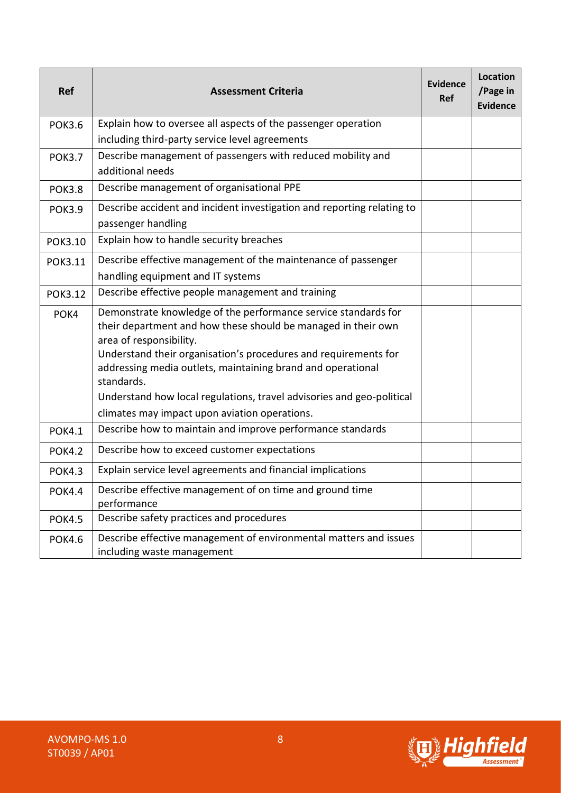| <b>Ref</b>     | <b>Assessment Criteria</b>                                                                      | <b>Evidence</b><br><b>Ref</b> | <b>Location</b><br>/Page in<br><b>Evidence</b> |
|----------------|-------------------------------------------------------------------------------------------------|-------------------------------|------------------------------------------------|
| <b>POK3.6</b>  | Explain how to oversee all aspects of the passenger operation                                   |                               |                                                |
|                | including third-party service level agreements                                                  |                               |                                                |
| <b>POK3.7</b>  | Describe management of passengers with reduced mobility and                                     |                               |                                                |
|                | additional needs                                                                                |                               |                                                |
| <b>POK3.8</b>  | Describe management of organisational PPE                                                       |                               |                                                |
| <b>POK3.9</b>  | Describe accident and incident investigation and reporting relating to                          |                               |                                                |
|                | passenger handling                                                                              |                               |                                                |
| POK3.10        | Explain how to handle security breaches                                                         |                               |                                                |
| <b>POK3.11</b> | Describe effective management of the maintenance of passenger                                   |                               |                                                |
|                | handling equipment and IT systems                                                               |                               |                                                |
| <b>POK3.12</b> | Describe effective people management and training                                               |                               |                                                |
| POK4           | Demonstrate knowledge of the performance service standards for                                  |                               |                                                |
|                | their department and how these should be managed in their own<br>area of responsibility.        |                               |                                                |
|                | Understand their organisation's procedures and requirements for                                 |                               |                                                |
|                | addressing media outlets, maintaining brand and operational<br>standards.                       |                               |                                                |
|                | Understand how local regulations, travel advisories and geo-political                           |                               |                                                |
|                | climates may impact upon aviation operations.                                                   |                               |                                                |
| <b>POK4.1</b>  | Describe how to maintain and improve performance standards                                      |                               |                                                |
| <b>POK4.2</b>  | Describe how to exceed customer expectations                                                    |                               |                                                |
| <b>POK4.3</b>  | Explain service level agreements and financial implications                                     |                               |                                                |
| <b>POK4.4</b>  | Describe effective management of on time and ground time<br>performance                         |                               |                                                |
| <b>POK4.5</b>  | Describe safety practices and procedures                                                        |                               |                                                |
| <b>POK4.6</b>  | Describe effective management of environmental matters and issues<br>including waste management |                               |                                                |